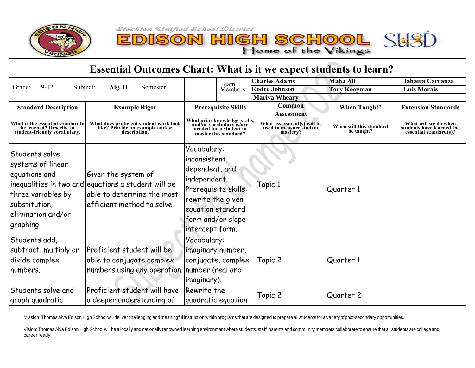

 $\mathbf{S}$ 

**CO** 

N HIGH SCHOOL SHSI<br>Home of the Vikings

## **Essential Outcomes Chart: What is it we expect students to learn?**

|                                                                                                                                                                                       |          |                      |                                                                                           |                                                                                                          |                            | Team                                                                                                                                                                      | <b>Charles Adams</b>                                              | <b>Maha Ali</b>                       | Jahaira Carranza                                                            |                    |
|---------------------------------------------------------------------------------------------------------------------------------------------------------------------------------------|----------|----------------------|-------------------------------------------------------------------------------------------|----------------------------------------------------------------------------------------------------------|----------------------------|---------------------------------------------------------------------------------------------------------------------------------------------------------------------------|-------------------------------------------------------------------|---------------------------------------|-----------------------------------------------------------------------------|--------------------|
| Grade:                                                                                                                                                                                | $9 - 12$ | Subject:             |                                                                                           | Alg. $II$                                                                                                | Semester                   |                                                                                                                                                                           | Members:                                                          | <b>Kodee Johnson</b>                  | <b>Tory Kooyman</b>                                                         | <b>Luis Morais</b> |
|                                                                                                                                                                                       |          |                      |                                                                                           |                                                                                                          |                            |                                                                                                                                                                           |                                                                   | <b>Mariya Wheary</b>                  |                                                                             |                    |
| <b>Standard Description</b>                                                                                                                                                           |          | <b>Example Rigor</b> |                                                                                           | <b>Prerequisite Skills</b>                                                                               |                            | <b>Common</b><br>Assessment                                                                                                                                               | <b>When Taught?</b>                                               | <b>Extension Standards</b>            |                                                                             |                    |
| What is the essential standardto<br>be learned? Describe in<br>student-friendly vocabulary.                                                                                           |          |                      | What does proficient student work look<br>like? Provide an example and/or<br>description. |                                                                                                          |                            | What prior knowledge, skills,<br>and/or yocabulary is/are<br>needed for a student to<br>master this standard?                                                             | What assessment(s) will be<br>used to measure student<br>mastery? | When will this standard<br>be taught? | What will we do when<br>students have learned the<br>essential standard(s)? |                    |
| Students solve<br>systems of linear<br>equations and<br>inequalities in two and equations a student will be<br>three variables by<br>substitution,<br>elimination and/or<br>graphing. |          |                      |                                                                                           | Given the system of<br>able to determine the most<br>efficient method to solve.                          |                            | Vocabulary:<br>inconsistent,<br>dependent, and<br>independent.<br>Prerequisite skills:<br>rewrite the given<br>equation standard<br>form and/or slope-<br>intercept form. | Topic 1                                                           | Quarter 1                             |                                                                             |                    |
| Students add,<br>subtract, multiply or<br>divide complex<br>numbers.                                                                                                                  |          |                      |                                                                                           | Proficient student will be<br>able to conjugate complex<br>numbers using any operation. number (real and | Vocabulary:<br>imaginary). | imaginary number,<br>conjugate, complex                                                                                                                                   | Topic 2                                                           | Quarter 1                             |                                                                             |                    |
| Students solve and<br>graph quadratic                                                                                                                                                 |          |                      |                                                                                           | Proficient student will have<br>a deeper understanding of                                                | Rewrite the                | quadratic equation                                                                                                                                                        | Topic 2                                                           | Quarter 2                             |                                                                             |                    |

Mission: Thomas Alva Edison High School will deliver challenging and meaningful instruction within programs that are designed to prepare all students for a variety of post-secondary opportunities.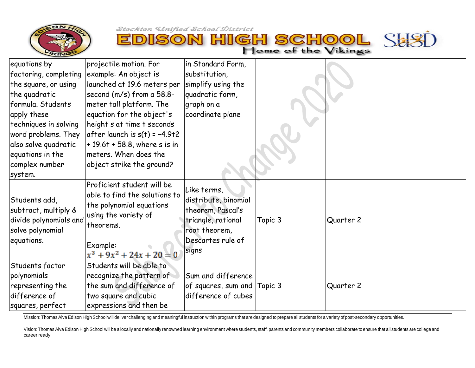

Stockton Unified School District **N HIGH SCHOO** 



Home of the Vikings

SHS

Mission: Thomas Alva Edison High School will deliver challenging and meaningful instruction within programs that are designed to prepare all students for a variety of post-secondary opportunities.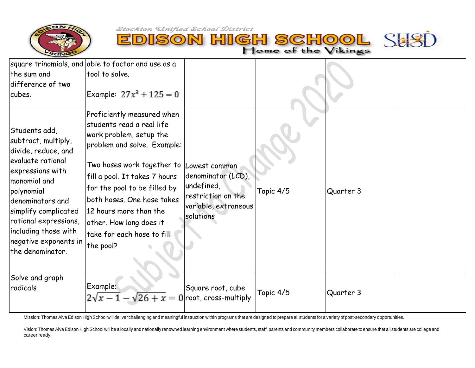

EDISON HIGH SCHOOL SHSI

| the sum and<br>difference of two                                                                                                                                                                                                                                             | square trinomials, and able to factor and use as a<br>tool to solve.                                                                                                                                                                                                                                                                           |                                                                                                              |           |           |  |
|------------------------------------------------------------------------------------------------------------------------------------------------------------------------------------------------------------------------------------------------------------------------------|------------------------------------------------------------------------------------------------------------------------------------------------------------------------------------------------------------------------------------------------------------------------------------------------------------------------------------------------|--------------------------------------------------------------------------------------------------------------|-----------|-----------|--|
| cubes.                                                                                                                                                                                                                                                                       | Example: $27x^3 + 125 = 0$                                                                                                                                                                                                                                                                                                                     |                                                                                                              |           |           |  |
| Students add,<br>subtract, multiply,<br>divide, reduce, and<br>evaluate rational<br>expressions with<br>monomial and<br>polynomial<br>denominators and<br>simplify complicated<br>rational expressions,<br>including those with<br>negative exponents in<br>the denominator. | Proficiently measured when<br>students read a real life<br>work problem, setup the<br>problem and solve. Example:<br>Two hoses work together to<br>fill a pool. It takes 7 hours<br>for the pool to be filled by<br>both hoses. One hose takes<br>12 hours more than the<br>other. How long does it<br>take for each hose to fill<br>the pool? | Lowest common<br>denominator (LCD),<br>undefined,<br>restriction on the<br>variable, extraneous<br>solutions | Topic 4/5 | Quarter 3 |  |
| Solve and graph<br>radicals                                                                                                                                                                                                                                                  | Example:<br>$2\sqrt{x-1}-\sqrt{26}+x=0$ root, cross-multiply                                                                                                                                                                                                                                                                                   | Square root, cube                                                                                            | Topic 4/5 | Quarter 3 |  |

Mission: Thomas Alva Edison High School will deliver challenging and meaningful instruction within programs that are designed to prepare all students for a variety ofpost-secondary opportunities.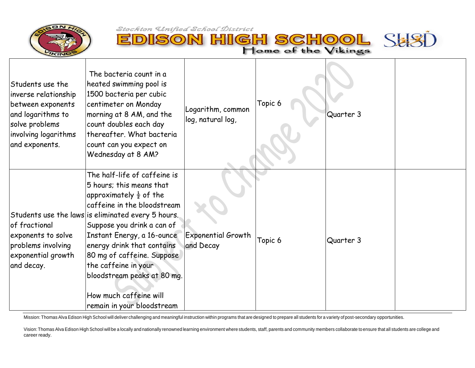巨

D



SON HIGH SCHOOL SHSI

| Students use the<br>inverse relationship<br>between exponents<br>and logarithms to<br>solve problems<br>involving logarithms<br>and exponents. | The bacteria count in a<br>heated swimming pool is<br>1500 bacteria per cubic<br>centimeter on Monday<br>morning at 8 AM, and the<br>count doubles each day<br>thereafter. What bacteria<br>count can you expect on<br>Wednesday at 8 AM?                                                                                                                                                                                  | Logarithm, common<br>log, natural log, | Topic 6 | Quarter 3 |  |
|------------------------------------------------------------------------------------------------------------------------------------------------|----------------------------------------------------------------------------------------------------------------------------------------------------------------------------------------------------------------------------------------------------------------------------------------------------------------------------------------------------------------------------------------------------------------------------|----------------------------------------|---------|-----------|--|
| of fractional<br>exponents to solve<br>problems involving<br>exponential growth<br>and decay.                                                  | The half-life of caffeine is<br>5 hours; this means that<br>approximately $\frac{1}{2}$ of the<br>caffeine in the bloodstream<br>Students use the laws is eliminated every 5 hours.<br>Suppose you drink a can of<br>Instant Energy, a 16-ounce<br>energy drink that contains<br>80 mg of caffeine. Suppose<br>the caffeine in your<br>bloodstream peaks at 80 mg.<br>How much caffeine will<br>remain in your bloodstream | <b>Exponential Growth</b><br>and Decay | Topic 6 | Quarter 3 |  |

Mission: Thomas Alva Edison High School will deliver challenging and meaningful instruction within programs that are designed to prepare all students for a variety of post-secondary opportunities.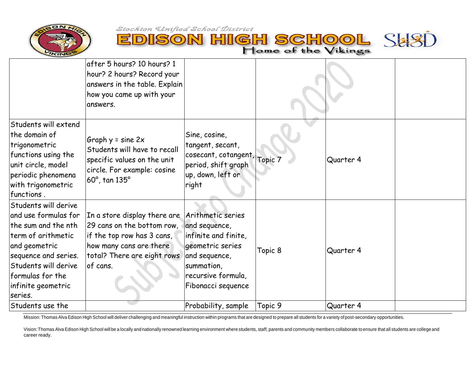



|                                                                                                                                                                                                                 | after 5 hours? 10 hours? 1<br>hour? 2 hours? Record your<br>answers in the table. Explain<br>how you came up with your<br>answers.                                               |                                                                                                                                      |         |           |  |
|-----------------------------------------------------------------------------------------------------------------------------------------------------------------------------------------------------------------|----------------------------------------------------------------------------------------------------------------------------------------------------------------------------------|--------------------------------------------------------------------------------------------------------------------------------------|---------|-----------|--|
| Students will extend<br>the domain of<br>trigonometric<br>functions using the<br>unit circle, model<br>periodic phenomena<br>with trigonometric<br>functions.                                                   | Graph $y = \text{sine } 2x$<br>Students will have to recall<br>specific values on the unit<br>circle. For example: cosine<br>$60^\circ$ , tan $135^\circ$                        | Sine, cosine,<br>tangent, secant,<br>cosecant, cotangent, Topic 7<br>period, shift graph<br>up, down, left or<br>right               |         | Quarter 4 |  |
| Students will derive<br>and use formulas for<br>the sum and the nth<br>term of arithmetic<br>and geometric<br>sequence and series.<br>Students will derive<br>formulas for the<br>infinite geometric<br>series. | In a store display there are Arithmetic series<br>29 cans on the bottom row,<br>if the top row has 3 cans,<br>how many cans are there<br>total? There are eight rows<br>of cans. | and sequence,<br>infinite and finite,<br>geometric series<br>and sequence,<br>summation,<br>recursive formula,<br>Fibonacci sequence | Topic 8 | Quarter 4 |  |
| Students use the                                                                                                                                                                                                |                                                                                                                                                                                  | Probability, sample                                                                                                                  | Topic 9 | Quarter 4 |  |

Mission: Thomas Alva Edison High School will deliver challenging and meaningful instruction within programs that are designed to prepare all students for a variety of post-secondary opportunities.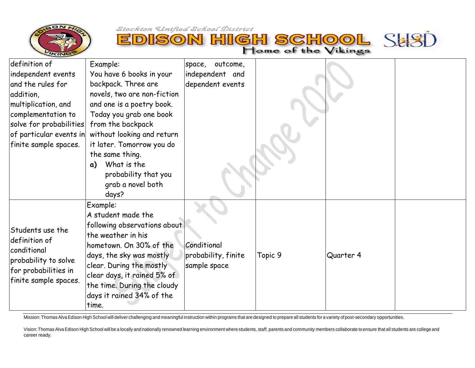

巨

D



| definition of<br>independent events<br>and the rules for<br>addition,<br>multiplication, and<br>complementation to<br>solve for probabilities<br>of particular events in | Example:<br>You have 6 books in your<br>backpack. Three are<br>novels, two are non-fiction<br>and one is a poetry book.<br>Today you grab one book<br>from the backpack<br>without looking and return                                                                       | space, outcome,<br>independent and<br>dependent events |         |           |  |
|--------------------------------------------------------------------------------------------------------------------------------------------------------------------------|-----------------------------------------------------------------------------------------------------------------------------------------------------------------------------------------------------------------------------------------------------------------------------|--------------------------------------------------------|---------|-----------|--|
| finite sample spaces.                                                                                                                                                    | it later. Tomorrow you do<br>the same thing.<br>What is the<br>$\alpha$<br>probability that you<br>grab a novel both<br>days?                                                                                                                                               |                                                        |         |           |  |
| Students use the<br>definition of<br>conditional<br>probability to solve<br>for probabilities in<br>finite sample spaces.                                                | Example:<br>A student made the<br>following observations about<br>the weather in his<br>hometown. On 30% of the<br>days, the sky was mostly<br>clear. During the mostly<br>clear days, it rained 5% of<br>the time. During the cloudy<br>days it rained 34% of the<br>time. | Conditional<br>probability, finite<br>sample space     | Topic 9 | Quarter 4 |  |

Mission: Thomas Alva Edison High School will deliver challenging and meaningful instruction within programs that are designed to prepare all students for a variety ofpost-secondary opportunities.